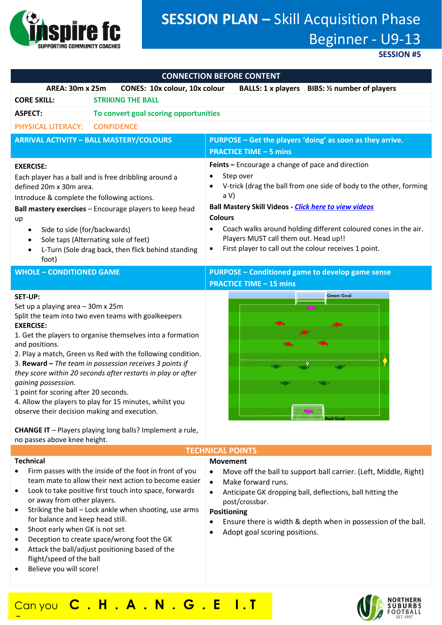

# **SESSION PLAN –** Skill Acquisition Phase Beginner - U9-13

**SESSION #5**

| <b>CONNECTION BEFORE CONTENT</b>                                                                                                                                                                                                                                                                                                                                                                                                                                                                                                                                                                                                                                                        |                                       |                                                                                                                                                                                                                                                                                                                                                                                                    |
|-----------------------------------------------------------------------------------------------------------------------------------------------------------------------------------------------------------------------------------------------------------------------------------------------------------------------------------------------------------------------------------------------------------------------------------------------------------------------------------------------------------------------------------------------------------------------------------------------------------------------------------------------------------------------------------------|---------------------------------------|----------------------------------------------------------------------------------------------------------------------------------------------------------------------------------------------------------------------------------------------------------------------------------------------------------------------------------------------------------------------------------------------------|
| <b>AREA: 30m x 25m</b><br><b>CONES: 10x colour, 10x colour</b><br>BALLS: 1 x players BIBS: 1/2 number of players                                                                                                                                                                                                                                                                                                                                                                                                                                                                                                                                                                        |                                       |                                                                                                                                                                                                                                                                                                                                                                                                    |
| <b>CORE SKILL:</b><br><b>STRIKING THE BALL</b>                                                                                                                                                                                                                                                                                                                                                                                                                                                                                                                                                                                                                                          |                                       |                                                                                                                                                                                                                                                                                                                                                                                                    |
| <b>ASPECT:</b>                                                                                                                                                                                                                                                                                                                                                                                                                                                                                                                                                                                                                                                                          | To convert goal scoring opportunities |                                                                                                                                                                                                                                                                                                                                                                                                    |
| <b>PHYSICAL LITERACY:</b>                                                                                                                                                                                                                                                                                                                                                                                                                                                                                                                                                                                                                                                               | <b>CONFIDENCE</b>                     |                                                                                                                                                                                                                                                                                                                                                                                                    |
| <b>ARRIVAL ACTIVITY - BALL MASTERY/COLOURS</b>                                                                                                                                                                                                                                                                                                                                                                                                                                                                                                                                                                                                                                          |                                       | PURPOSE - Get the players 'doing' as soon as they arrive.                                                                                                                                                                                                                                                                                                                                          |
|                                                                                                                                                                                                                                                                                                                                                                                                                                                                                                                                                                                                                                                                                         |                                       | <b>PRACTICE TIME - 5 mins</b>                                                                                                                                                                                                                                                                                                                                                                      |
| <b>EXERCISE:</b><br>Each player has a ball and is free dribbling around a<br>defined 20m x 30m area.<br>Introduce & complete the following actions.<br>Ball mastery exercises - Encourage players to keep head<br>up<br>Side to side (for/backwards)<br>Sole taps (Alternating sole of feet)<br>L-Turn (Sole drag back, then flick behind standing<br>foot)                                                                                                                                                                                                                                                                                                                             |                                       | Feints - Encourage a change of pace and direction<br>Step over<br>V-trick (drag the ball from one side of body to the other, forming<br>a V<br><b>Ball Mastery Skill Videos - Click here to view videos</b><br><b>Colours</b><br>Coach walks around holding different coloured cones in the air.<br>Players MUST call them out. Head up!!<br>First player to call out the colour receives 1 point. |
| <b>WHOLE - CONDITIONED GAME</b>                                                                                                                                                                                                                                                                                                                                                                                                                                                                                                                                                                                                                                                         |                                       | <b>PURPOSE - Conditioned game to develop game sense</b>                                                                                                                                                                                                                                                                                                                                            |
| <b>SET-UP:</b><br>Set up a playing area - 30m x 25m<br>Split the team into two even teams with goalkeepers<br><b>EXERCISE:</b><br>1. Get the players to organise themselves into a formation<br>and positions.<br>2. Play a match, Green vs Red with the following condition.<br>3. Reward - The team in possession receives 3 points if<br>they score within 20 seconds after restarts in play or after<br>gaining possession.<br>1 point for scoring after 20 seconds.<br>4. Allow the players to play for 15 minutes, whilst you<br>observe their decision making and execution.<br><b>CHANGE IT</b> - Players playing long balls? Implement a rule,<br>no passes above knee height. |                                       | <b>PRACTICE TIME - 15 mins</b><br><b>Green Goal</b><br><b>TECHNICAL POINTS</b>                                                                                                                                                                                                                                                                                                                     |
| <b>Technical</b><br>Firm passes with the inside of the foot in front of you<br>team mate to allow their next action to become easier<br>Look to take positive first touch into space, forwards<br>or away from other players.                                                                                                                                                                                                                                                                                                                                                                                                                                                           |                                       | <b>Movement</b><br>Move off the ball to support ball carrier. (Left, Middle, Right)<br>Make forward runs.<br>Anticipate GK dropping ball, deflections, ball hitting the<br>$\bullet$<br>post/crossbar.                                                                                                                                                                                             |

- Striking the ball Lock ankle when shooting, use arms for balance and keep head still.
- Shoot early when GK is not set
- Deception to create space/wrong foot the GK
- Attack the ball/adjust positioning based of the flight/speed of the ball
- Believe you will score!

**?**

# **Positioning**

- Ensure there is width & depth when in possession of the ball.
- Adopt goal scoring positions.

# Can you **C . H . A . N . G . E I . T**